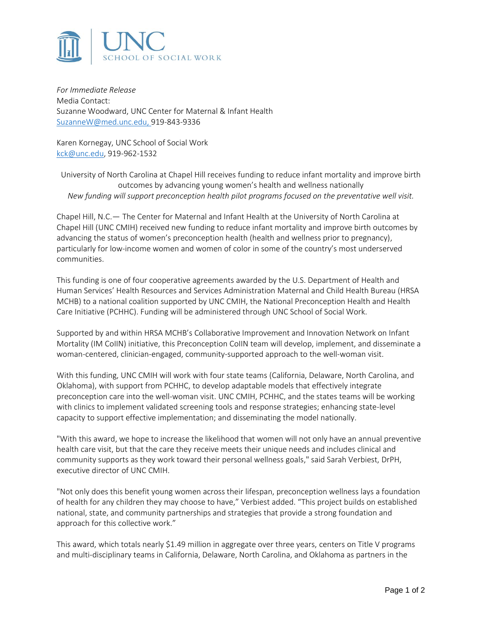

*For Immediate Release* Media Contact: Suzanne Woodward, UNC Center for Maternal & Infant Health [SuzanneW@med.unc.edu,](mailto:SuzanneW@med.unc.edu) 919-843-9336

Karen Kornegay, UNC School of Social Work [kck@unc.edu,](mailto:kck@unc.edu) 919-962-1532

University of North Carolina at Chapel Hill receives funding to reduce infant mortality and improve birth outcomes by advancing young women's health and wellness nationally *New funding will support preconception health pilot programs focused on the preventative well visit.*

Chapel Hill, N.C.— The Center for Maternal and Infant Health at the University of North Carolina at Chapel Hill (UNC CMIH) received new funding to reduce infant mortality and improve birth outcomes by advancing the status of women's preconception health (health and wellness prior to pregnancy), particularly for low-income women and women of color in some of the country's most underserved communities.

This funding is one of four cooperative agreements awarded by the U.S. Department of Health and Human Services' Health Resources and Services Administration Maternal and Child Health Bureau (HRSA MCHB) to a national coalition supported by UNC CMIH, the National Preconception Health and Health Care Initiative (PCHHC). Funding will be administered through UNC School of Social Work.

Supported by and within HRSA MCHB's Collaborative Improvement and Innovation Network on Infant Mortality (IM CoIIN) initiative, this Preconception CoIIN team will develop, implement, and disseminate a woman-centered, clinician-engaged, community-supported approach to the well-woman visit.

With this funding, UNC CMIH will work with four state teams (California, Delaware, North Carolina, and Oklahoma), with support from PCHHC, to develop adaptable models that effectively integrate preconception care into the well-woman visit. UNC CMIH, PCHHC, and the states teams will be working with clinics to implement validated screening tools and response strategies; enhancing state-level capacity to support effective implementation; and disseminating the model nationally.

"With this award, we hope to increase the likelihood that women will not only have an annual preventive health care visit, but that the care they receive meets their unique needs and includes clinical and community supports as they work toward their personal wellness goals," said Sarah Verbiest, DrPH, executive director of UNC CMIH.

"Not only does this benefit young women across their lifespan, preconception wellness lays a foundation of health for any children they may choose to have," Verbiest added. "This project builds on established national, state, and community partnerships and strategies that provide a strong foundation and approach for this collective work."

This award, which totals nearly \$1.49 million in aggregate over three years, centers on Title V programs and multi-disciplinary teams in California, Delaware, North Carolina, and Oklahoma as partners in the